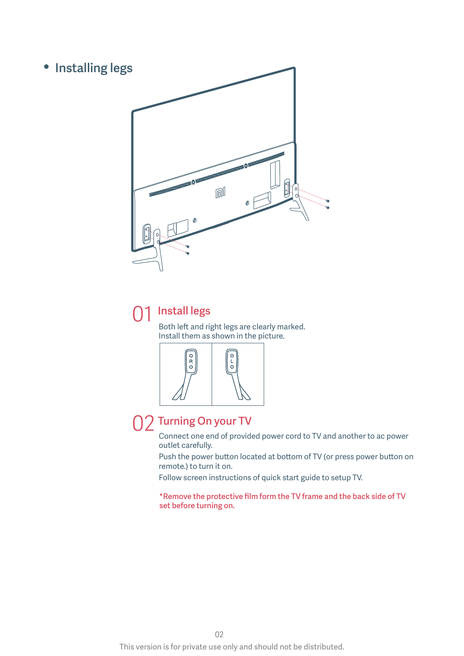

#### Install legs 01

Both left and right legs are clearly marked. Install them as shown in the picture.



# 02 Turning On your TV

Connect one end of provided power cord to TV and another to ac power outlet carefully.

Push the power button located at bottom of TV (or press power button on remote.) to turn it on.

Follow screen instructions of quick start guide to setup TV.

\*Remove the protective film form the TV frame and the back side of TV set before turning on.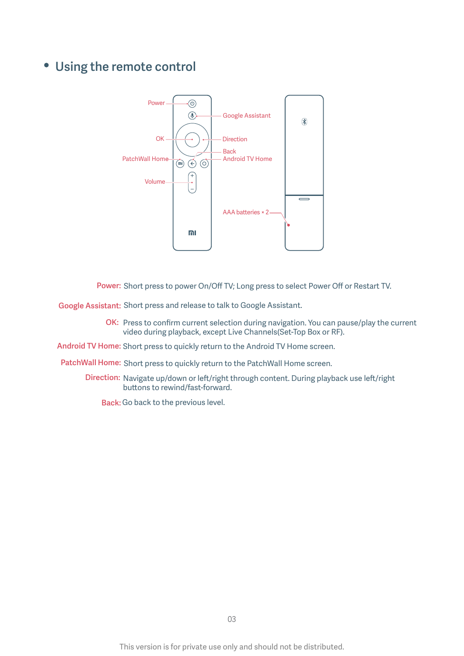# Using the remote control



Power: Short press to power On/Off TV; Long press to select Power Off or Restart TV.

Google Assistant: Short press and release to talk to Google Assistant.

OK: Press to confirm current selection during navigation. You can pause/play the current video during playback, except Live Channels(Set-Top Box or RF).

Android TV Home: Short press to quickly return to the Android TV Home screen.

PatchWall Home: Short press to quickly return to the PatchWall Home screen.

Direction: Navigate up/down or left/right through content. During playback use left/right buttons to rewind/fast-forward.

Back: Go back to the previous level.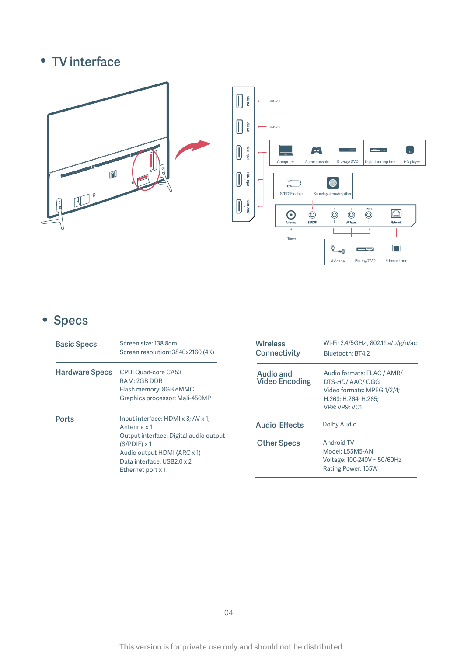# • TV interface





# • Specs

| <b>Basic Specs</b>    | Screen size: 138.8cm<br>Screen resolution: 3840x2160 (4K)                                                                                       | <b>Wireless</b><br>Connectivity    | Wi-Fi: 2.4/5GHz, 802.11 a/b/g/n/ac<br>Bluetooth: BT4.2                                                                     |
|-----------------------|-------------------------------------------------------------------------------------------------------------------------------------------------|------------------------------------|----------------------------------------------------------------------------------------------------------------------------|
| <b>Hardware Specs</b> | CPU: Quad-core CA53<br>RAM: 2GB DDR<br>Flash memory: 8GB eMMC<br>Graphics processor: Mali-450MP                                                 | Audio and<br><b>Video Encoding</b> | Audio formats: FLAC / AMR/<br>DTS-HD/AAC/OGG<br>Video formats: MPEG 1/2/4;<br>H.263; H.264; H.265;<br><b>VP8: VP9: VC1</b> |
| <b>Ports</b>          | Input interface: HDMI x 3; AV x 1;<br>Antenna x 1                                                                                               | <b>Audio Effects</b>               | Dolby Audio                                                                                                                |
|                       | Output interface: Digital audio output<br>$(S/PDIF) \times 1$<br>Audio output HDMI (ARC x 1)<br>Data interface: USB2.0 x 2<br>Ethernet port x 1 | <b>Other Specs</b>                 | Android TV<br>Model: L55M5-AN<br>Voltage: 100-240V ~ 50/60Hz<br>Rating Power: 155W                                         |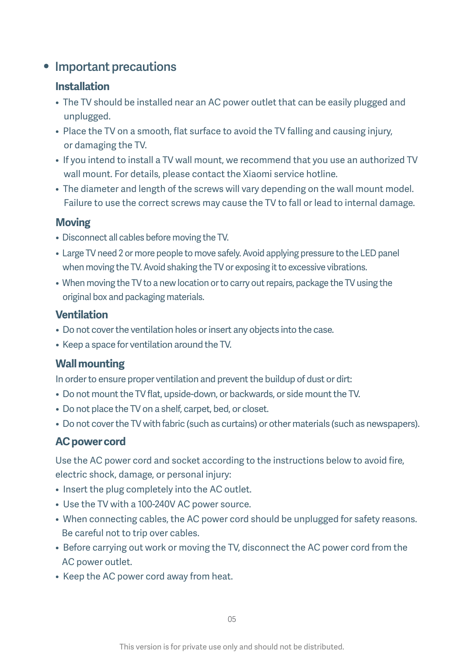# • Important precautions

### **Installation**

- The TV should be installed near an AC power outlet that can be easily plugged and unplugged.
- Place the TV on a smooth, flat surface to avoid the TV falling and causing injury, or damaging the TV.
- If you intend to install a TV wall mount, we recommend that you use an authorized TV wall mount. For details, please contact the Xiaomi service hotline.
- The diameter and length of the screws will vary depending on the wall mount model. Failure to use the correct screws may cause the TV to fall or lead to internal damage.

#### **Moving**

- Disconnect all cables before moving the TV.
- Large TV need 2 or more people to move safely. Avoid applying pressure to the LED panel when moving the TV. Avoid shaking the TV or exposing it to excessive vibrations.
- When moving the TV to a new location or to carry out repairs, package the TV using the original box and packaging materials.

### **Ventilation**

- Do not cover the ventilation holes or insert any objects into the case.
- Keep a space for ventilation around the TV.

## **Wall mounting**

In order to ensure proper ventilation and prevent the buildup of dust or dirt:

- Do not mount the TV flat, upside-down, or backwards, or side mount the TV.
- Do not place the TV on a shelf, carpet, bed, or closet.
- Do not cover the TV with fabric (such as curtains) or other materials (such as newspapers).

# **AC power cord**

Use the AC power cord and socket according to the instructions below to avoid fire, electric shock, damage, or personal injury:

- Insert the plug completely into the AC outlet.
- Use the TV with a 100-240V AC power source.
- When connecting cables, the AC power cord should be unplugged for safety reasons. Be careful not to trip over cables.
- Before carrying out work or moving the TV, disconnect the AC power cord from the AC power outlet.
- Keep the AC power cord away from heat.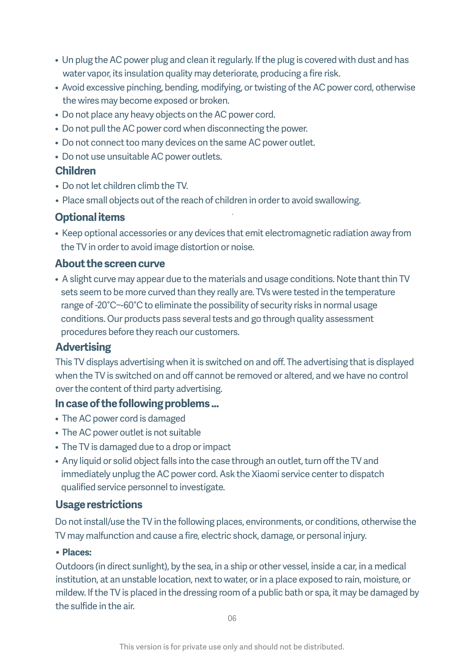- Un plug the AC power plug and clean it regularly. If the plug is covered with dust and has water vapor, its insulation quality may deteriorate, producing a fire risk.
- Avoid excessive pinching, bending, modifying, or twisting of the AC power cord, otherwise the wires may become exposed or broken.
- Do not place any heavy objects on the AC power cord.
- Do not pull the AC power cord when disconnecting the power.
- Do not connect too many devices on the same AC power outlet.
- Do not use unsuitable AC power outlets.

#### **Children**

- Do not let children climb the TV.
- Place small objects out of the reach of children in order to avoid swallowing.

#### **Optional items**

• Keep optional accessories or any devices that emit electromagnetic radiation away from the TV in order to avoid image distortion or noise.

#### **About the screen curve**

• A slight curve may appear due to the materials and usage conditions. Note thant thin TV sets seem to be more curved than they really are. TVs were tested in the temperature range of -20°C~-60°C to eliminate the possibility of security risks in normal usage conditions. Our products pass several tests and go through quality assessment procedures before they reach our customers.

#### **Advertising**

This TV displays advertising when it is switched on and off. The advertising that is displayed when the TV is switched on and off cannot be removed or altered, and we have no control over the content of third party advertising.

#### **In case of the following problems ...**

- The AC power cord is damaged
- The AC power outlet is not suitable
- The TV is damaged due to a drop or impact
- Any liquid or solid object falls into the case through an outlet, turn off the TV and immediately unplug the AC power cord. Ask the Xiaomi service center to dispatch qualified service personnel to investigate.

#### **Usage restrictions**

Do not install/use the TV in the following places, environments, or conditions, otherwise the TV may malfunction and cause a fire, electric shock, damage, or personal injury.

#### **• Places:**

Outdoors (in direct sunlight), by the sea, in a ship or other vessel, inside a car, in a medical institution, at an unstable location, next to water, or in a place exposed to rain, moisture, or mildew. If the TV is placed in the dressing room of a public bath or spa, it may be damaged by the sulfide in the air.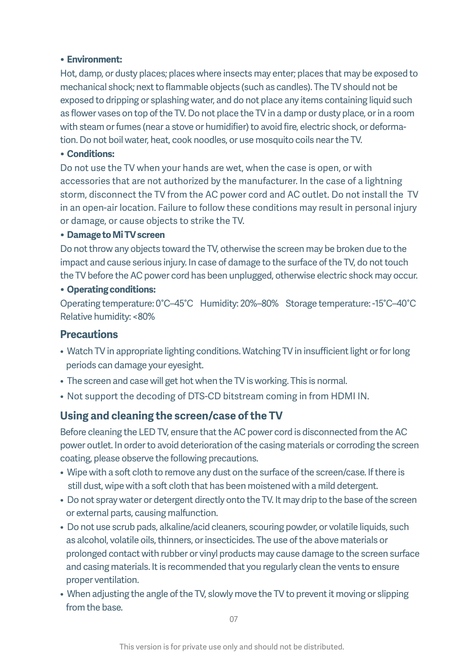#### **• Environment:**

Hot, damp, or dusty places; places where insects may enter; places that may be exposed to mechanical shock; next to flammable objects (such as candles). The TV should not be exposed to dripping or splashing water, and do not place any items containing liquid such as flower vases on top of the TV. Do not place the TV in a damp or dusty place, or in a room with steam or fumes (near a stove or humidifier) to avoid fire, electric shock, or deformation. Do not boil water, heat, cook noodles, or use mosquito coils near the TV.

#### **• Conditions:**

Do not use the TV when your hands are wet, when the case is open, or with accessories that are not authorized by the manufacturer. In the case of a lightning storm, disconnect the TV from the AC power cord and AC outlet. Do not install the TV in an open-air location. Failure to follow these conditions may result in personal injury or damage, or cause objects to strike the TV.

#### **• Damage to Mi TV screen**

Do not throw any objects toward the TV, otherwise the screen may be broken due to the impact and cause serious injury. In case of damage to the surface of the TV, do not touch the TV before the AC power cord has been unplugged, otherwise electric shock may occur.

#### **• Operating conditions:**

Operating temperature: 0°C–45°C Humidity: 20%–80% Storage temperature: -15°C–40°C Relative humidity: <80%

#### **Precautions**

- Watch TV in appropriate lighting conditions. Watching TV in insufficient light or for long periods can damage your eyesight.
- The screen and case will get hot when the TV is working. This is normal.
- Not support the decoding of DTS-CD bitstream coming in from HDMI IN.

## **Using and cleaning the screen/case of the TV**

Before cleaning the LED TV, ensure that the AC power cord is disconnected from the AC power outlet. In order to avoid deterioration of the casing materials or corroding the screen coating, please observe the following precautions.

- Wipe with a soft cloth to remove any dust on the surface of the screen/case. If there is still dust, wipe with a soft cloth that has been moistened with a mild detergent.
- Do not spray water or detergent directly onto the TV. It may drip to the base of the screen or external parts, causing malfunction.
- Do not use scrub pads, alkaline/acid cleaners, scouring powder, or volatile liquids, such as alcohol, volatile oils, thinners, or insecticides. The use of the above materials or prolonged contact with rubber or vinyl products may cause damage to the screen surface and casing materials. It is recommended that you regularly clean the vents to ensure proper ventilation.
- When adjusting the angle of the TV, slowly move the TV to prevent it moving or slipping from the base.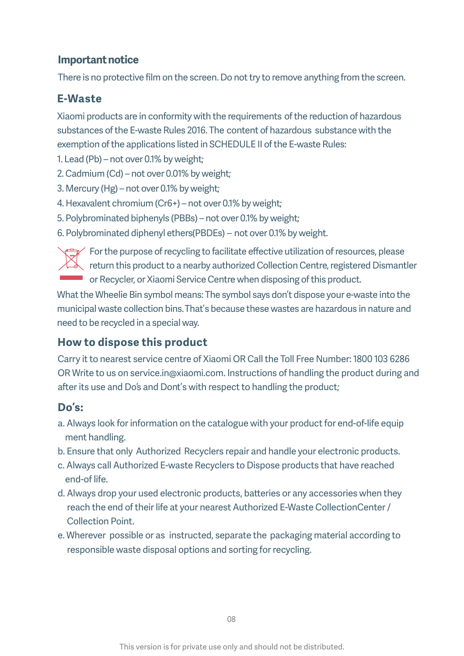## **Important notice**

There is no protective film on the screen. Do not try to remove anything from the screen.

## **E-Waste**

Xiaomi products are in conformity with the requirements of the reduction of hazardous substances of the E-waste Rules 2016. The content of hazardous substance with the exemption of the applications listed in SCHEDULE II of the E-waste Rules:

1. Lead (Pb) – not over 0.1% by weight;

- 2. Cadmium (Cd) not over 0.01% by weight;
- 3. Mercury (Hg) not over 0.1% by weight;
- 4. Hexavalent chromium (Cr6+) not over 0.1% by weight;
- 5. Polybrominated biphenyls (PBBs) not over 0.1% by weight;

6. Polybrominated diphenyl ethers (PBDEs) – not over 0.1% by weight.



For the purpose of recycling to facilitate effective utilization of resources, please return this product to a nearby authorized Collection Centre, registered Dismantler or Recycler, or Xiaomi Service Centre when disposing of this product.

What the Wheelie Bin symbol means: The symbol says don't dispose your e-waste into the municipal waste collection bins. That's because these wastes are hazardous in nature and need to be recycled in a special way.

# **How to dispose this product**

Carry it to nearest service centre of Xiaomi OR Call the Toll Free Number: 1800 103 6286 OR Write to us on service.in@xiaomi.com. Instructions of handling the product during and after its use and Do's and Dont's with respect to handling the product;

## **Do's:**

- a. Always look for information on the catalogue with your product for end-of-life equip ment handling.
- b. Ensure that only Authorized Recyclers repair and handle your electronic products.
- c. Always call Authorized E-waste Recyclers to Dispose products that have reached end-of life.
- d. Always drop your used electronic products, batteries or any accessories when they reach the end of their life at your nearest Authorized E-Waste CollectionCenter / Collection Point.
- e. Wherever possible or as instructed, separate the packaging material according to responsible waste disposal options and sorting for recycling.